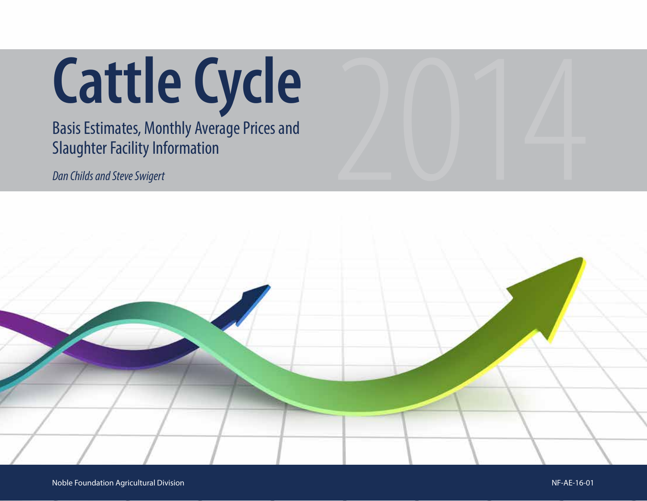

### Basis Estimates, Monthly Average Prices and Slaughter Facility Information

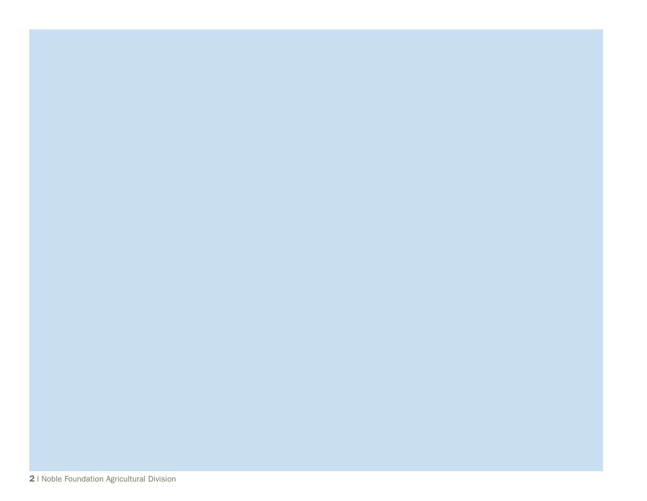#### 2 | Noble Foundation Agricultural Division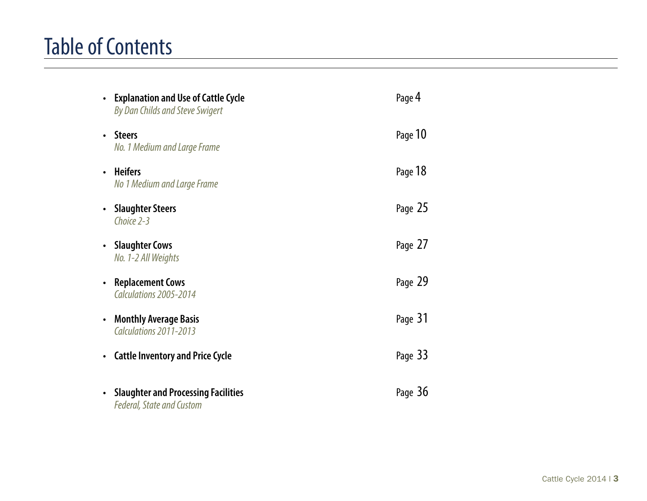## Table of Contents

| $\bullet$ | <b>Explanation and Use of Cattle Cycle</b><br>By Dan Childs and Steve Swigert  | Page 4  |
|-----------|--------------------------------------------------------------------------------|---------|
| $\bullet$ | <b>Steers</b><br>No. 1 Medium and Large Frame                                  | Page 10 |
| $\bullet$ | <b>Heifers</b><br>No 1 Medium and Large Frame                                  | Page 18 |
| $\bullet$ | <b>Slaughter Steers</b><br>Choice 2-3                                          | Page 25 |
|           | • Slaughter Cows<br>No. 1-2 All Weights                                        | Page 27 |
| $\bullet$ | <b>Replacement Cows</b><br>Calculations 2005-2014                              | Page 29 |
| $\bullet$ | <b>Monthly Average Basis</b><br>Calculations 2011-2013                         | Page 31 |
| $\bullet$ | <b>Cattle Inventory and Price Cycle</b>                                        | Page 33 |
| $\bullet$ | <b>Slaughter and Processing Facilities</b><br><b>Federal, State and Custom</b> | Page 36 |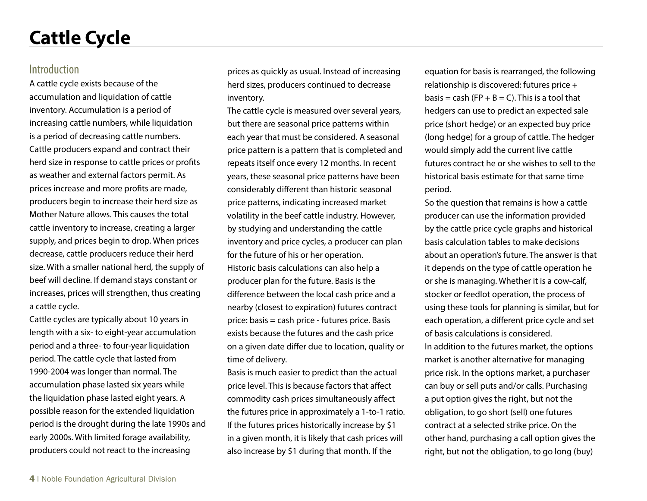### **Cattle Cycle**

### **Introduction**

A cattle cycle exists because of the accumulation and liquidation of cattle inventory. Accumulation is a period of increasing cattle numbers, while liquidation is a period of decreasing cattle numbers. Cattle producers expand and contract their herd size in response to cattle prices or profits as weather and external factors permit. As prices increase and more profits are made, producers begin to increase their herd size as Mother Nature allows. This causes the total cattle inventory to increase, creating a larger supply, and prices begin to drop. When prices decrease, cattle producers reduce their herd size. With a smaller national herd, the supply of beef will decline. If demand stays constant or increases, prices will strengthen, thus creating a cattle cycle.

Cattle cycles are typically about 10 years in length with a six- to eight-year accumulation period and a three- to four-year liquidation period. The cattle cycle that lasted from 1990-2004 was longer than normal. The accumulation phase lasted six years while the liquidation phase lasted eight years. A possible reason for the extended liquidation period is the drought during the late 1990s and early 2000s. With limited forage availability, producers could not react to the increasing

prices as quickly as usual. Instead of increasing herd sizes, producers continued to decrease inventory.

The cattle cycle is measured over several years, but there are seasonal price patterns within each year that must be considered. A seasonal price pattern is a pattern that is completed and repeats itself once every 12 months. In recent years, these seasonal price patterns have been considerably different than historic seasonal price patterns, indicating increased market volatility in the beef cattle industry. However, by studying and understanding the cattle inventory and price cycles, a producer can plan for the future of his or her operation. Historic basis calculations can also help a producer plan for the future. Basis is the difference between the local cash price and a nearby (closest to expiration) futures contract price: basis = cash price - futures price. Basis exists because the futures and the cash price on a given date differ due to location, quality or time of delivery.

Basis is much easier to predict than the actual price level. This is because factors that affect commodity cash prices simultaneously affect the futures price in approximately a 1-to-1 ratio. If the futures prices historically increase by \$1 in a given month, it is likely that cash prices will also increase by \$1 during that month. If the

equation for basis is rearranged, the following relationship is discovered: futures price + basis = cash (FP + B = C). This is a tool that hedgers can use to predict an expected sale price (short hedge) or an expected buy price (long hedge) for a group of cattle. The hedger would simply add the current live cattle futures contract he or she wishes to sell to the historical basis estimate for that same time period.

So the question that remains is how a cattle producer can use the information provided by the cattle price cycle graphs and historical basis calculation tables to make decisions about an operation's future. The answer is that it depends on the type of cattle operation he or she is managing. Whether it is a cow-calf, stocker or feedlot operation, the process of using these tools for planning is similar, but for each operation, a different price cycle and set of basis calculations is considered. In addition to the futures market, the options market is another alternative for managing price risk. In the options market, a purchaser can buy or sell puts and/or calls. Purchasing a put option gives the right, but not the obligation, to go short (sell) one futures contract at a selected strike price. On the other hand, purchasing a call option gives the right, but not the obligation, to go long (buy)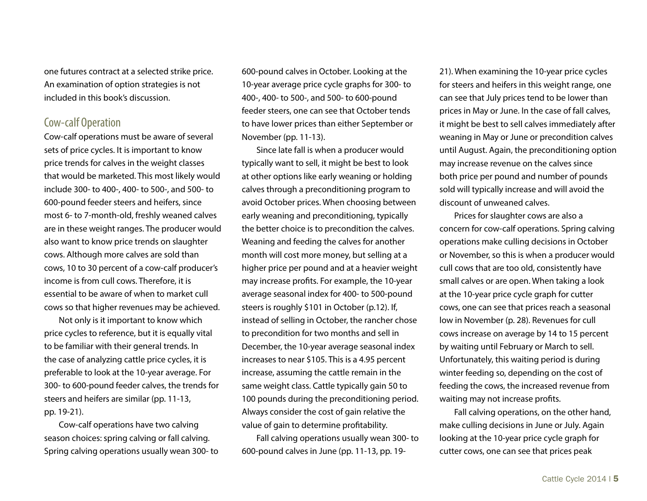one futures contract at a selected strike price. An examination of option strategies is not included in this book's discussion.

### Cow-calf Operation

Cow-calf operations must be aware of several sets of price cycles. It is important to know price trends for calves in the weight classes that would be marketed. This most likely would include 300- to 400-, 400- to 500-, and 500- to 600-pound feeder steers and heifers, since most 6- to 7-month-old, freshly weaned calves are in these weight ranges. The producer would also want to know price trends on slaughter cows. Although more calves are sold than cows, 10 to 30 percent of a cow-calf producer's income is from cull cows. Therefore, it is essential to be aware of when to market cull cows so that higher revenues may be achieved.

Not only is it important to know which price cycles to reference, but it is equally vital to be familiar with their general trends. In the case of analyzing cattle price cycles, it is preferable to look at the 10-year average. For 300- to 600-pound feeder calves, the trends for steers and heifers are similar (pp. 11-13, pp. 19-21).

Cow-calf operations have two calving season choices: spring calving or fall calving. Spring calving operations usually wean 300- to 600-pound calves in October. Looking at the 10-year average price cycle graphs for 300- to 400-, 400- to 500-, and 500- to 600-pound feeder steers, one can see that October tends to have lower prices than either September or November (pp. 11-13).

Since late fall is when a producer would typically want to sell, it might be best to look at other options like early weaning or holding calves through a preconditioning program to avoid October prices. When choosing between early weaning and preconditioning, typically the better choice is to precondition the calves. Weaning and feeding the calves for another month will cost more money, but selling at a higher price per pound and at a heavier weight may increase profits. For example, the 10-year average seasonal index for 400- to 500-pound steers is roughly \$101 in October (p.12). If, instead of selling in October, the rancher chose to precondition for two months and sell in December, the 10-year average seasonal index increases to near \$105. This is a 4.95 percent increase, assuming the cattle remain in the same weight class. Cattle typically gain 50 to 100 pounds during the preconditioning period. Always consider the cost of gain relative the value of gain to determine profitability.

Fall calving operations usually wean 300- to 600-pound calves in June (pp. 11-13, pp. 19-

21). When examining the 10-year price cycles for steers and heifers in this weight range, one can see that July prices tend to be lower than prices in May or June. In the case of fall calves, it might be best to sell calves immediately after weaning in May or June or precondition calves until August. Again, the preconditioning option may increase revenue on the calves since both price per pound and number of pounds sold will typically increase and will avoid the discount of unweaned calves.

Prices for slaughter cows are also a concern for cow-calf operations. Spring calving operations make culling decisions in October or November, so this is when a producer would cull cows that are too old, consistently have small calves or are open. When taking a look at the 10-year price cycle graph for cutter cows, one can see that prices reach a seasonal low in November (p. 28). Revenues for cull cows increase on average by 14 to 15 percent by waiting until February or March to sell. Unfortunately, this waiting period is during winter feeding so, depending on the cost of feeding the cows, the increased revenue from waiting may not increase profits.

Fall calving operations, on the other hand, make culling decisions in June or July. Again looking at the 10-year price cycle graph for cutter cows, one can see that prices peak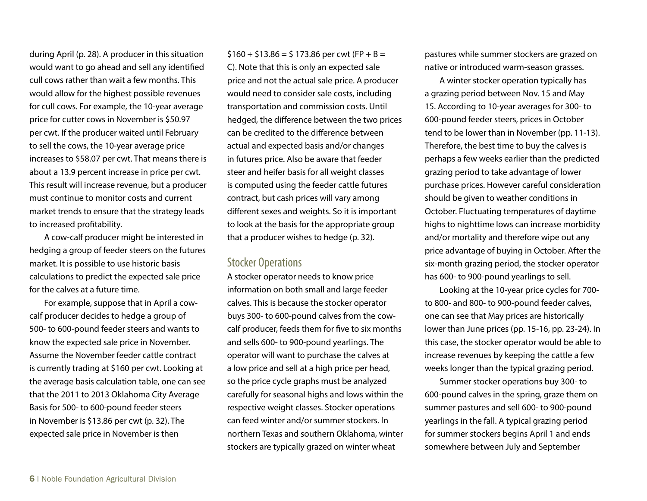during April (p. 28). A producer in this situation would want to go ahead and sell any identified cull cows rather than wait a few months. This would allow for the highest possible revenues for cull cows. For example, the 10-year average price for cutter cows in November is \$50.97 per cwt. If the producer waited until February to sell the cows, the 10-year average price increases to \$58.07 per cwt. That means there is about a 13.9 percent increase in price per cwt. This result will increase revenue, but a producer must continue to monitor costs and current market trends to ensure that the strategy leads to increased profitability.

A cow-calf producer might be interested in hedging a group of feeder steers on the futures market. It is possible to use historic basis calculations to predict the expected sale price for the calves at a future time.

For example, suppose that in April a cowcalf producer decides to hedge a group of 500- to 600-pound feeder steers and wants to know the expected sale price in November. Assume the November feeder cattle contract is currently trading at \$160 per cwt. Looking at the average basis calculation table, one can see that the 2011 to 2013 Oklahoma City Average Basis for 500- to 600-pound feeder steers in November is \$13.86 per cwt (p. 32). The expected sale price in November is then

 $$160 + $13.86 = $173.86$  per cwt (FP + B = C). Note that this is only an expected sale price and not the actual sale price. A producer would need to consider sale costs, including transportation and commission costs. Until hedged, the difference between the two prices can be credited to the difference between actual and expected basis and/or changes in futures price. Also be aware that feeder steer and heifer basis for all weight classes is computed using the feeder cattle futures contract, but cash prices will vary among different sexes and weights. So it is important to look at the basis for the appropriate group that a producer wishes to hedge (p. 32).

### Stocker Operations

A stocker operator needs to know price information on both small and large feeder calves. This is because the stocker operator buys 300- to 600-pound calves from the cowcalf producer, feeds them for five to six months and sells 600- to 900-pound yearlings. The operator will want to purchase the calves at a low price and sell at a high price per head, so the price cycle graphs must be analyzed carefully for seasonal highs and lows within the respective weight classes. Stocker operations can feed winter and/or summer stockers. In northern Texas and southern Oklahoma, winter stockers are typically grazed on winter wheat

pastures while summer stockers are grazed on native or introduced warm-season grasses.

A winter stocker operation typically has a grazing period between Nov. 15 and May 15. According to 10-year averages for 300- to 600-pound feeder steers, prices in October tend to be lower than in November (pp. 11-13). Therefore, the best time to buy the calves is perhaps a few weeks earlier than the predicted grazing period to take advantage of lower purchase prices. However careful consideration should be given to weather conditions in October. Fluctuating temperatures of daytime highs to nighttime lows can increase morbidity and/or mortality and therefore wipe out any price advantage of buying in October. After the six-month grazing period, the stocker operator has 600- to 900-pound yearlings to sell.

Looking at the 10-year price cycles for 700 to 800- and 800- to 900-pound feeder calves, one can see that May prices are historically lower than June prices (pp. 15-16, pp. 23-24). In this case, the stocker operator would be able to increase revenues by keeping the cattle a few weeks longer than the typical grazing period.

Summer stocker operations buy 300- to 600-pound calves in the spring, graze them on summer pastures and sell 600- to 900-pound yearlings in the fall. A typical grazing period for summer stockers begins April 1 and ends somewhere between July and September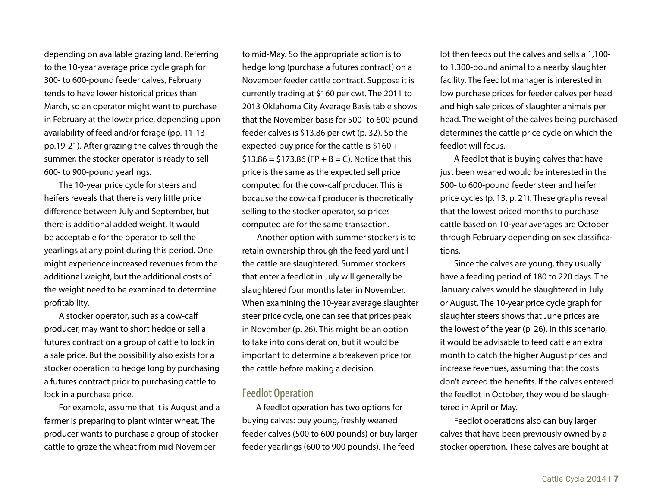depending on available grazing land. Referring to the 10-year average price cycle graph for 300- to 600-pound feeder calves, February tends to have lower historical prices than March, so an operator might want to purchase in February at the lower price, depending upon availability of feed and/or forage (pp. 11-13 pp.19-21). After grazing the calves through the summer, the stocker operator is ready to sell 600- to 900-pound yearlings.

The 10-year price cycle for steers and heifers reveals that there is very little price difference between July and September, but there is additional added weight. It would be acceptable for the operator to sell the yearlings at any point during this period. One might experience increased revenues from the additional weight, but the additional costs of the weight need to be examined to determine profitability.

A stocker operator, such as a cow-calf producer, may want to short hedge or sell a futures contract on a group of cattle to lock in a sale price. But the possibility also exists for a stocker operation to hedge long by purchasing a futures contract prior to purchasing cattle to lock in a purchase price.

For example, assume that it is August and a farmer is preparing to plant winter wheat. The producer wants to purchase a group of stocker cattle to graze the wheat from mid-November

to mid-May. So the appropriate action is to hedge long (purchase a futures contract) on a November feeder cattle contract. Suppose it is currently trading at \$160 per cwt. The 2011 to 2013 Oklahoma City Average Basis table shows that the November basis for 500- to 600-pound feeder calves is \$13.86 per cwt (p. 32). So the expected buy price for the cattle is \$160 +  $$13.86 = $173.86$  (FP + B = C). Notice that this price is the same as the expected sell price computed for the cow-calf producer. This is because the cow-calf producer is theoretically selling to the stocker operator, so prices computed are for the same transaction.

Another option with summer stockers is to retain ownership through the feed yard until the cattle are slaughtered. Summer stockers that enter a feedlot in July will generally be slaughtered four months later in November. When examining the 10-year average slaughter steer price cycle, one can see that prices peak in November (p. 26). This might be an option to take into consideration, but it would be important to determine a breakeven price for the cattle before making a decision.

### Feedlot Operation

A feedlot operation has two options for buying calves: buy young, freshly weaned feeder calves (500 to 600 pounds) or buy larger feeder yearlings (600 to 900 pounds). The feed-

lot then feeds out the calves and sells a 1,100 to 1,300-pound animal to a nearby slaughter facility. The feedlot manager is interested in low purchase prices for feeder calves per head and high sale prices of slaughter animals per head. The weight of the calves being purchased determines the cattle price cycle on which the feedlot will focus.

A feedlot that is buying calves that have just been weaned would be interested in the 500- to 600-pound feeder steer and heifer price cycles (p. 13, p. 21). These graphs reveal that the lowest priced months to purchase cattle based on 10-year averages are October through February depending on sex classifications.

Since the calves are young, they usually have a feeding period of 180 to 220 days. The January calves would be slaughtered in July or August. The 10-year price cycle graph for slaughter steers shows that June prices are the lowest of the year (p. 26). In this scenario, it would be advisable to feed cattle an extra month to catch the higher August prices and increase revenues, assuming that the costs don't exceed the benefits. If the calves entered the feedlot in October, they would be slaughtered in April or May.

Feedlot operations also can buy larger calves that have been previously owned by a stocker operation. These calves are bought at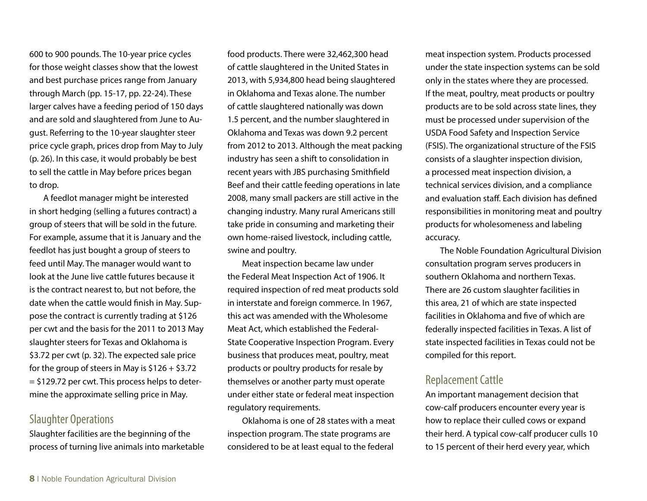600 to 900 pounds. The 10-year price cycles for those weight classes show that the lowest and best purchase prices range from January through March (pp. 15-17, pp. 22-24). These larger calves have a feeding period of 150 days and are sold and slaughtered from June to August. Referring to the 10-year slaughter steer price cycle graph, prices drop from May to July (p. 26). In this case, it would probably be best to sell the cattle in May before prices began to drop.

A feedlot manager might be interested in short hedging (selling a futures contract) a group of steers that will be sold in the future. For example, assume that it is January and the feedlot has just bought a group of steers to feed until May. The manager would want to look at the June live cattle futures because it is the contract nearest to, but not before, the date when the cattle would finish in May. Suppose the contract is currently trading at \$126 per cwt and the basis for the 2011 to 2013 May slaughter steers for Texas and Oklahoma is \$3.72 per cwt (p. 32). The expected sale price for the group of steers in May is  $$126 + $3.72$ = \$129.72 per cwt. This process helps to determine the approximate selling price in May.

### Slaughter Operations

Slaughter facilities are the beginning of the process of turning live animals into marketable food products. There were 32,462,300 head of cattle slaughtered in the United States in 2013, with 5,934,800 head being slaughtered in Oklahoma and Texas alone. The number of cattle slaughtered nationally was down 1.5 percent, and the number slaughtered in Oklahoma and Texas was down 9.2 percent from 2012 to 2013. Although the meat packing industry has seen a shift to consolidation in recent years with JBS purchasing Smithfield Beef and their cattle feeding operations in late 2008, many small packers are still active in the changing industry. Many rural Americans still take pride in consuming and marketing their own home-raised livestock, including cattle, swine and poultry.

Meat inspection became law under the Federal Meat Inspection Act of 1906. It required inspection of red meat products sold in interstate and foreign commerce. In 1967, this act was amended with the Wholesome Meat Act, which established the Federal-State Cooperative Inspection Program. Every business that produces meat, poultry, meat products or poultry products for resale by themselves or another party must operate under either state or federal meat inspection regulatory requirements.

Oklahoma is one of 28 states with a meat inspection program. The state programs are considered to be at least equal to the federal

meat inspection system. Products processed under the state inspection systems can be sold only in the states where they are processed. If the meat, poultry, meat products or poultry products are to be sold across state lines, they must be processed under supervision of the USDA Food Safety and Inspection Service (FSIS). The organizational structure of the FSIS consists of a slaughter inspection division, a processed meat inspection division, a technical services division, and a compliance and evaluation staff. Each division has defined responsibilities in monitoring meat and poultry products for wholesomeness and labeling accuracy.

The Noble Foundation Agricultural Division consultation program serves producers in southern Oklahoma and northern Texas. There are 26 custom slaughter facilities in this area, 21 of which are state inspected facilities in Oklahoma and five of which are federally inspected facilities in Texas. A list of state inspected facilities in Texas could not be compiled for this report.

### Replacement Cattle

An important management decision that cow-calf producers encounter every year is how to replace their culled cows or expand their herd. A typical cow-calf producer culls 10 to 15 percent of their herd every year, which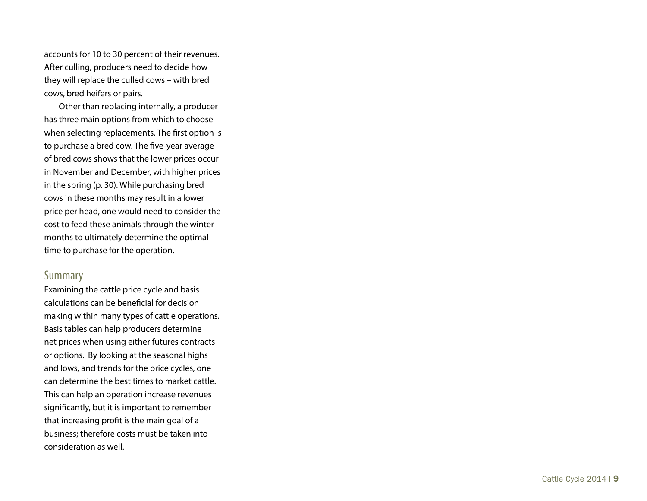accounts for 10 to 30 percent of their revenues. After culling, producers need to decide how they will replace the culled cows – with bred cows, bred heifers or pairs.

Other than replacing internally, a producer has three main options from which to choose when selecting replacements. The first option is to purchase a bred cow. The five-year average of bred cows shows that the lower prices occur in November and December, with higher prices in the spring (p. 30). While purchasing bred cows in these months may result in a lower price per head, one would need to consider the cost to feed these animals through the winter months to ultimately determine the optimal time to purchase for the operation.

### **Summary**

Examining the cattle price cycle and basis calculations can be beneficial for decision making within many types of cattle operations. Basis tables can help producers determine net prices when using either futures contracts or options. By looking at the seasonal highs and lows, and trends for the price cycles, one can determine the best times to market cattle. This can help an operation increase revenues significantly, but it is important to remember that increasing profit is the main goal of a business; therefore costs must be taken into consideration as well.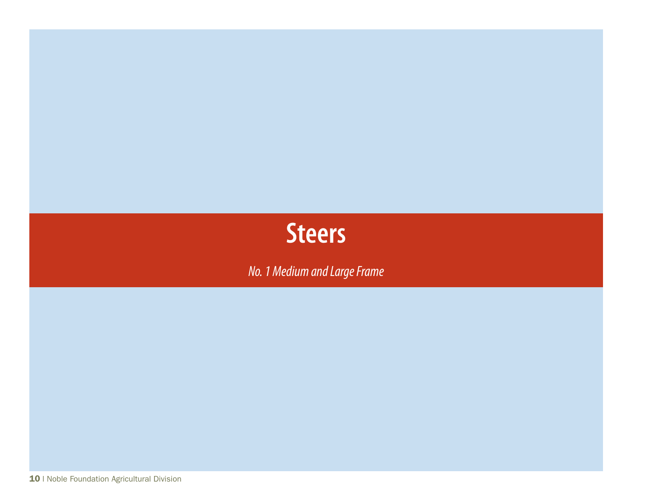## **Steers**

*No. 1 Medium and Large Frame*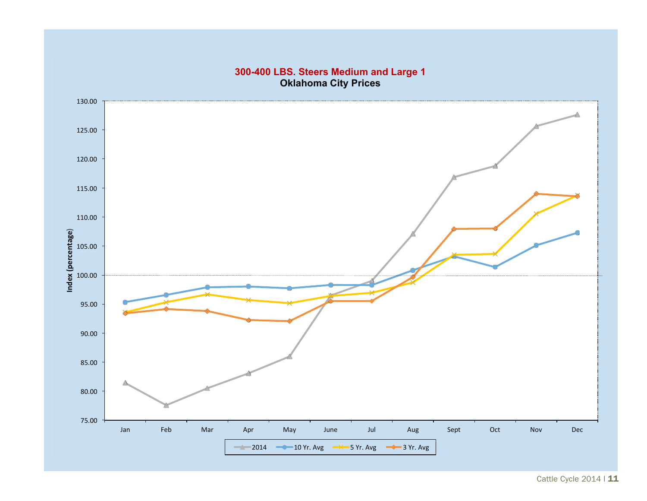

Cattle Cycle 2014 | 11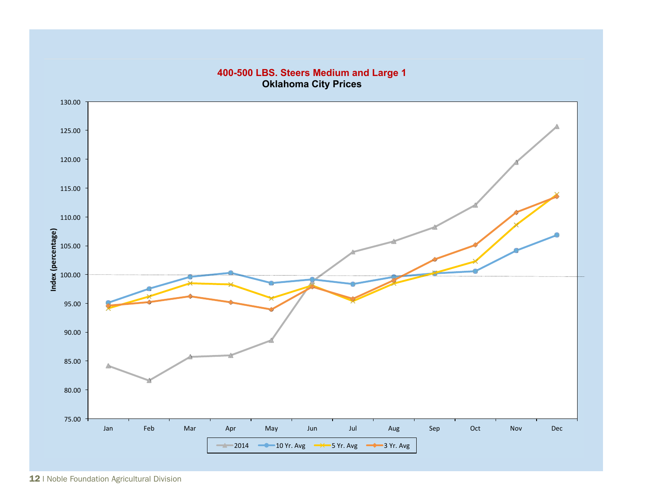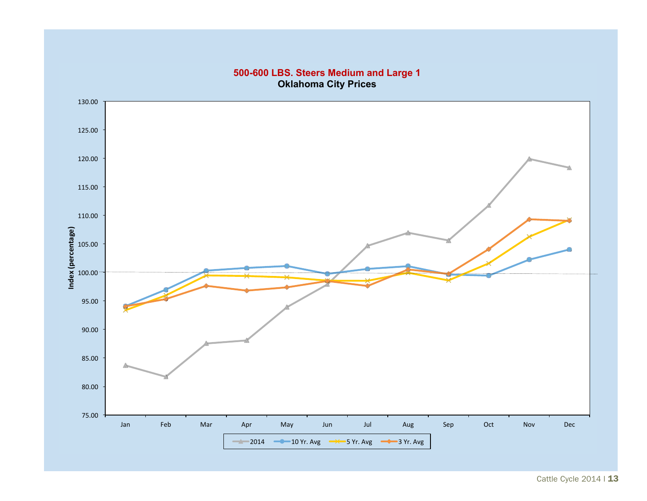

#### **500-600 LBS. Steers Medium and Large 1 Oklahoma City Prices**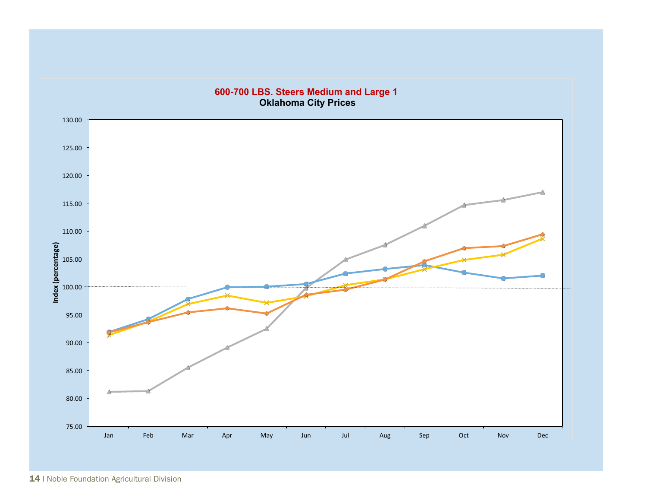#### **600-700 LBS. Steers Medium and Large 1 Oklahoma City Prices**

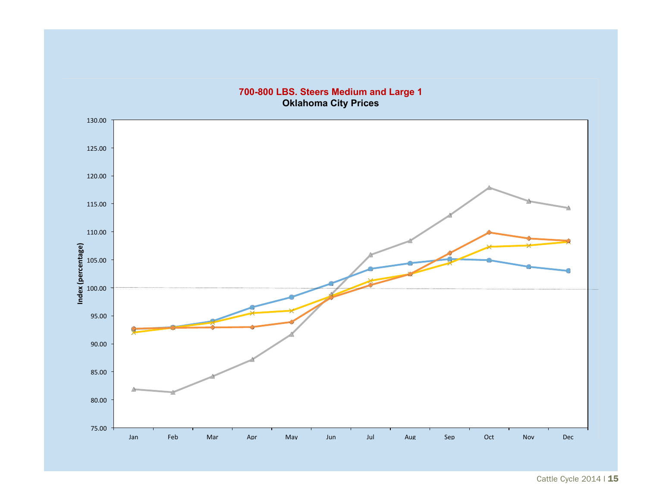### **700-800 LBS. Steers Medium and Large 1 Oklahoma City Prices**

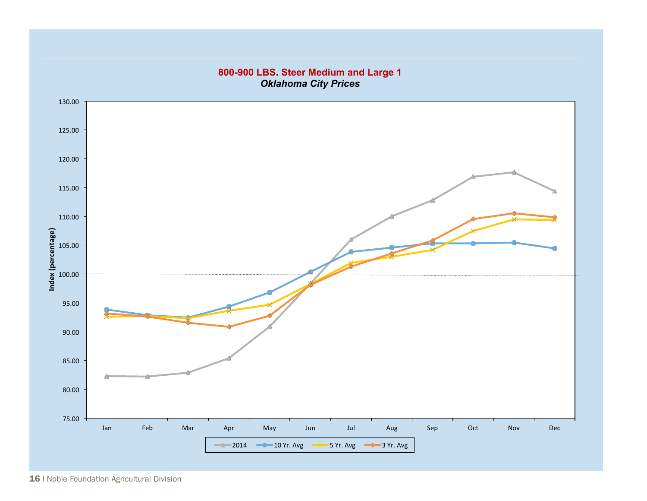

16 | Noble Foundation Agricultural Division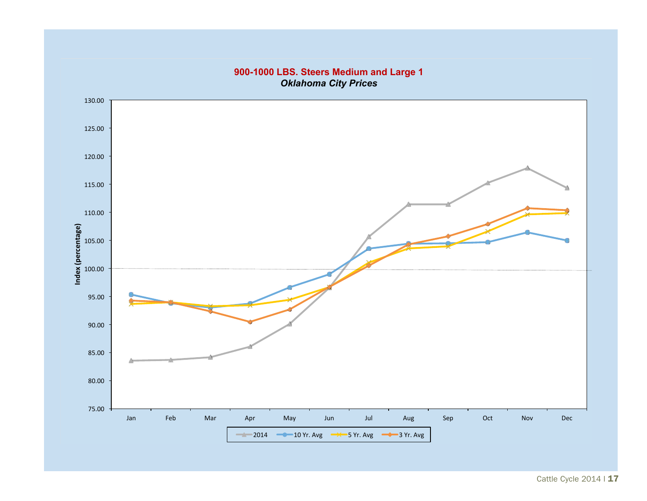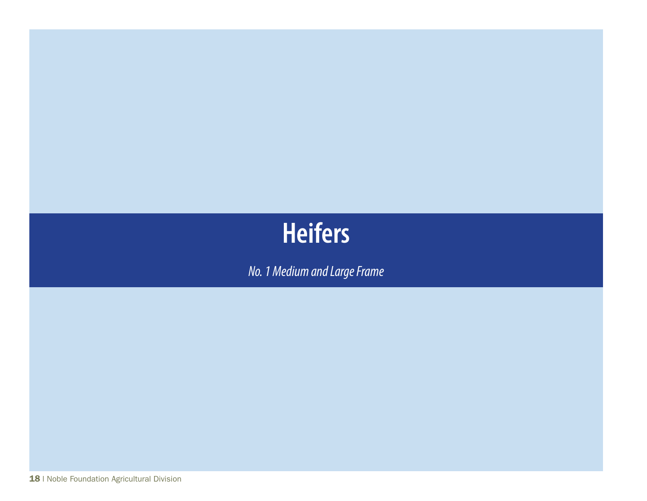## **Heifers**

*No. 1 Medium and Large Frame*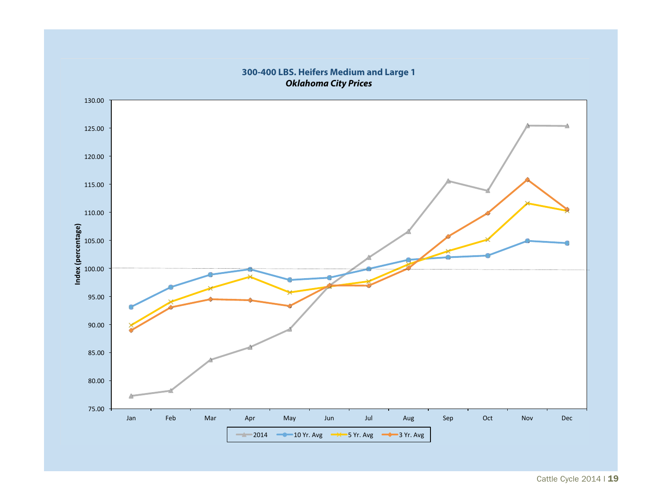

#### **300-400 LBS. Heifers Medium and Large 1**  *Oklahoma City Prices*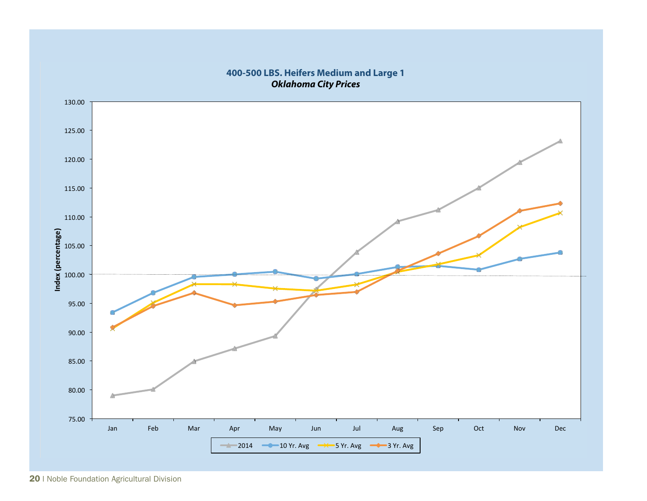

### **400-500 LBS. Heifers Medium and Large 1**

20 | Noble Foundation Agricultural Division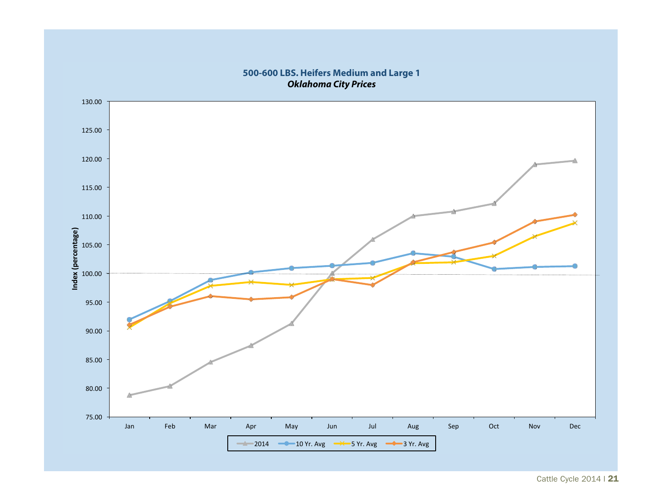

### **500-600 LBS. Heifers Medium and Large 1**  *Oklahoma City Prices*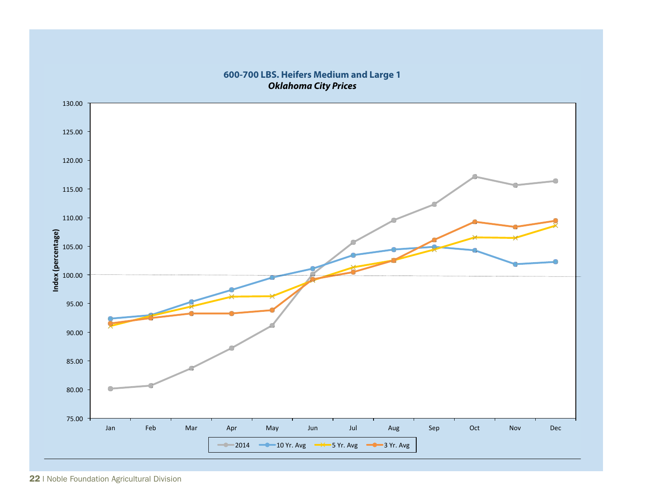

### **600-700 LBS. Heifers Medium and Large 1**

22 | Noble Foundation Agricultural Division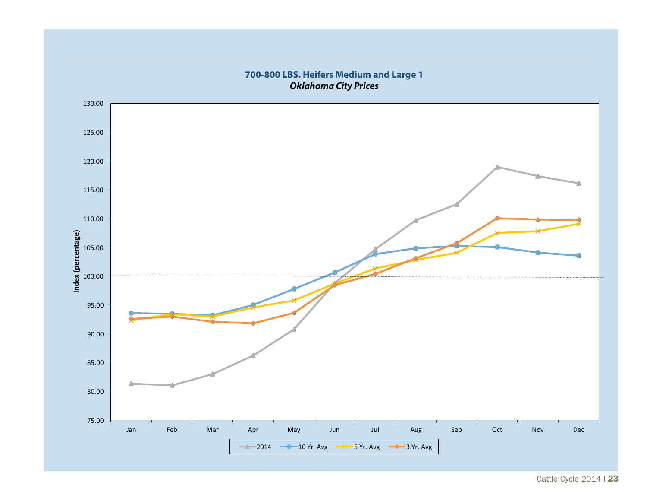

### **700-800 LBS. Heifers Medium and Large 1**

Cattle Cycle 2014 | 23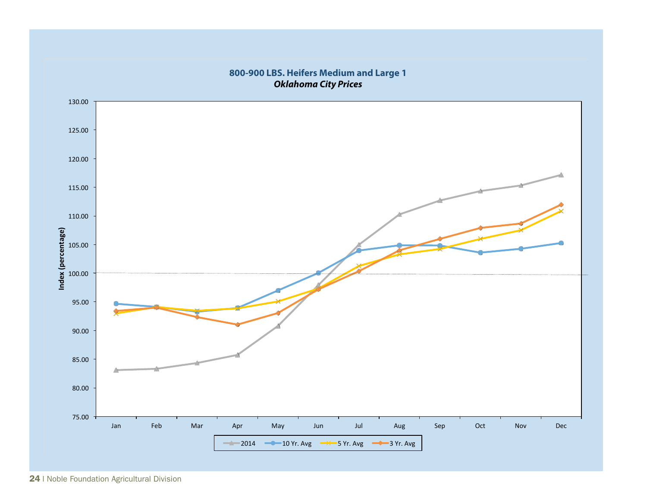

### **800-900 LBS. Heifers Medium and Large 1**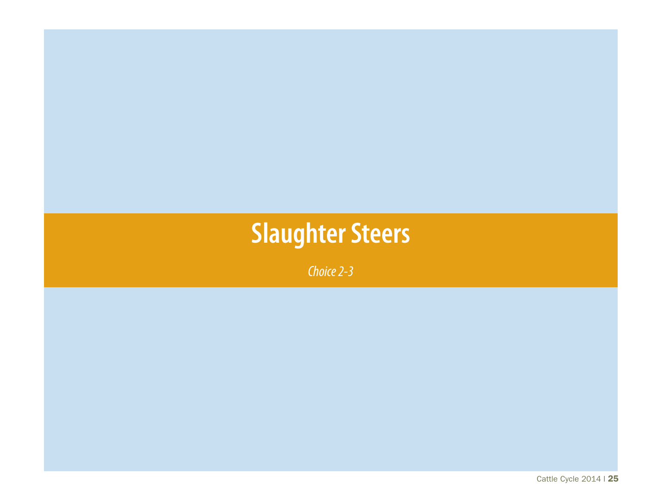# **Slaughter Steers**

*Choice 2-3*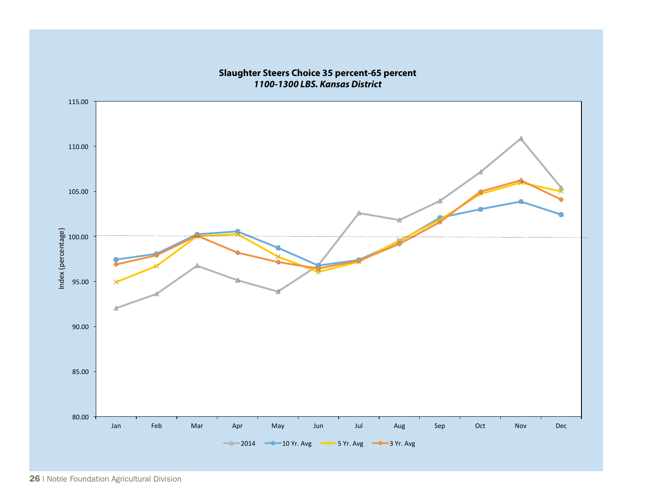

**Slaughter Steers Choice 35 percent-65 percent**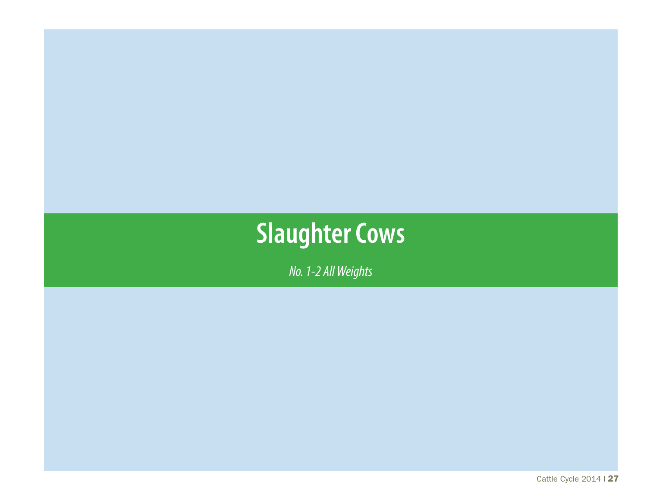# **Slaughter Cows**

*No. 1-2 All Weights*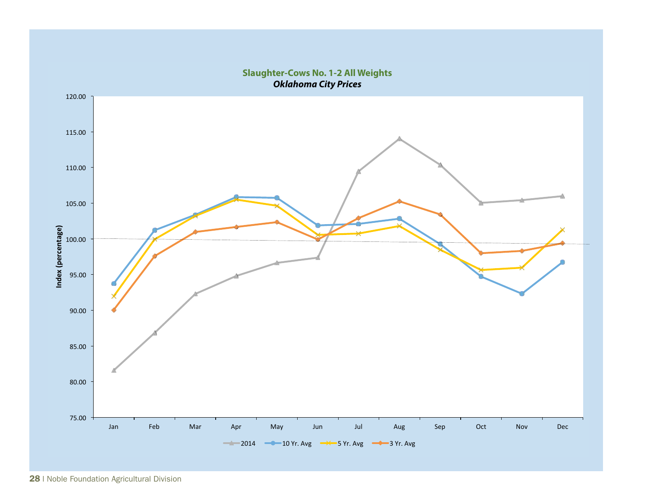

#### 28 | Noble Foundation Agricultural Division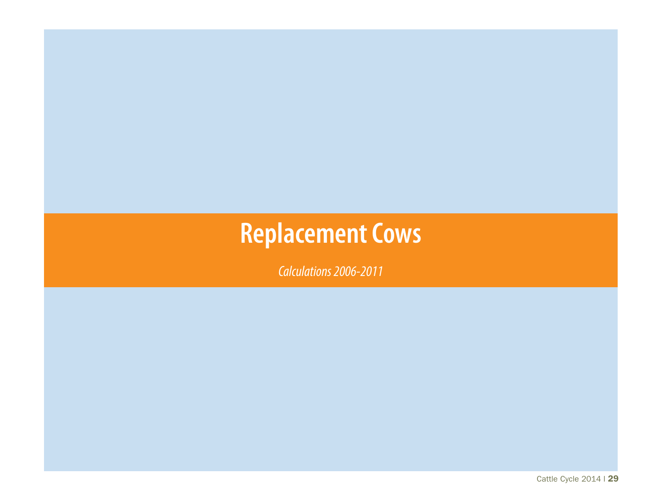## **Replacement Cows**

*Calculations 2006-2011*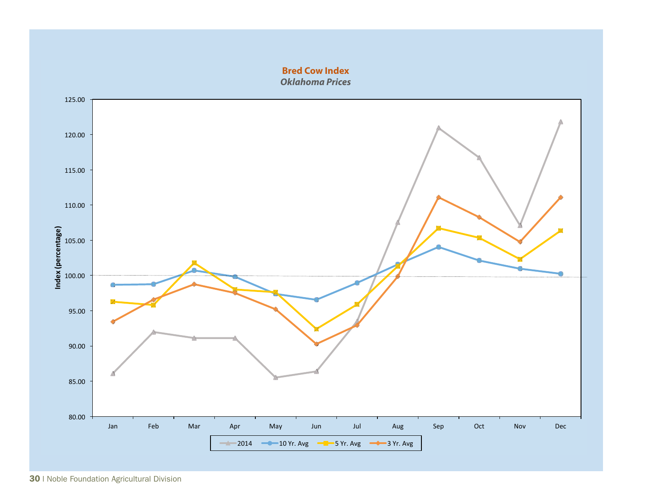#### **Bred Cow Index**  *Oklahoma Prices*



30 | Noble Foundation Agricultural Division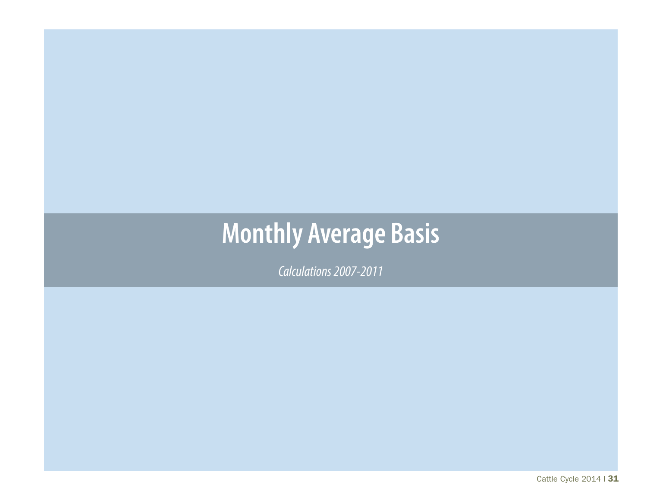# **Monthly Average Basis**

*Calculations 2007-2011*

Cattle Cycle 2014 | 31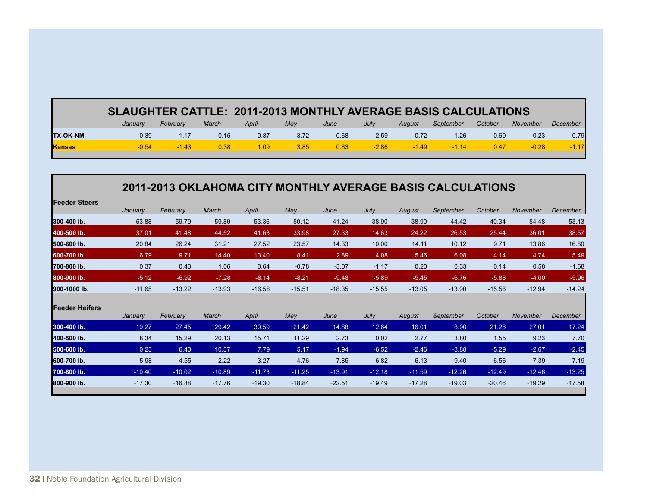| SLAUGHTER CATTLE: 2011-2013 MONTHLY AVERAGE BASIS CALCULATIONS |         |          |         |       |      |      |         |         |           |         |          |          |
|----------------------------------------------------------------|---------|----------|---------|-------|------|------|---------|---------|-----------|---------|----------|----------|
|                                                                | Januarv | February | March   | April | May  | June | July    | August  | September | October | November | December |
| <b>ITX-OK-NM</b>                                               | $-0.39$ | $-1.17$  | $-0.15$ | 0.87  | 3.72 | 0.68 | $-2.59$ | $-0.72$ | $-1.26$   | 0.69    | 0.23     | $-0.79$  |
| <u>IKansas</u>                                                 | -0.54   | $-1.43$  | 0.38    | 1.09  | 3.85 | 0.83 | $-2.86$ | $-1.49$ | $-1,14$   | 0.47    | $-0.28$  | $-1.17$  |

| 2011-2013 OKLAHOMA CITY MONTHLY AVERAGE BASIS CALCULATIONS |          |          |          |          |          |          |          |          |           |          |          |          |
|------------------------------------------------------------|----------|----------|----------|----------|----------|----------|----------|----------|-----------|----------|----------|----------|
| <b>IFeeder Steers</b>                                      | January  | February | March    | April    | May      | June     | July     | August   | September | October  | November | December |
| 300-400 lb.                                                | 53.88    | 59.79    | 59.80    | 53.36    | 50.12    | 41.24    | 38.90    | 38.90    | 44.42     | 40.34    | 54.48    | 53.13    |
| 400-500 lb.                                                | 37.01    | 41.48    | 44.52    | 41.63    | 33.98    | 27.33    | 14.63    | 24.22    | 26.53     | 25.44    | 36.01    | 38.57    |
| 500-600 lb.                                                | 20.84    | 26.24    | 31.21    | 27.52    | 23.57    | 14.33    | 10.00    | 14.11    | 10.12     | 9.71     | 13.86    | 16.80    |
| 600-700 lb.                                                | 6.79     | 9.71     | 14.40    | 13.40    | 8.41     | 2.89     | 4.08     | 5.46     | 6.08      | 4.14     | 4.74     | 5.49     |
| 700-800 lb.                                                | 0.37     | 0.43     | 1.06     | 0.64     | $-0.78$  | $-3.07$  | $-1.17$  | 0.20     | 0.33      | 0.14     | 0.58     | $-1.68$  |
| 800-900 lb.                                                | $-5.12$  | $-6.92$  | $-7.28$  | $-8.14$  | $-8.21$  | $-9.48$  | $-5.89$  | $-5.45$  | $-6.76$   | $-5.88$  | $-4.00$  | $-5.96$  |
| 900-1000 lb.                                               | $-11.65$ | $-13.22$ | $-13.93$ | $-16.56$ | $-15.51$ | $-18.35$ | $-15.55$ | $-13.05$ | $-13.90$  | $-15.56$ | $-12.94$ | $-14.24$ |
| <b>IFeeder Heifers</b>                                     | January  | February | March    | April    | May      | June     | July     | August   | September | October  | November | December |
| 300-400 lb.                                                | 19.27    | 27.45    | 29.42    | 30.59    | 21.42    | 14.88    | 12.64    | 16.01    | 8.90      | 21.26    | 27.01    | 17.24    |
| 400-500 lb.                                                | 8.34     | 15.29    | 20.13    | 15.71    | 11.29    | 2.73     | 0.02     | 2.77     | 3.80      | 1.55     | 9.23     | 7.70     |
| 500-600 lb.                                                | 0.23     | 6.40     | 10.37    | 7.79     | 5.17     | $-1.94$  | $-6.52$  | $-2.46$  | $-3.88$   | $-5.29$  | $-2.67$  | $-2.45$  |
| 600-700 lb.                                                | $-5.98$  | $-4.55$  | $-2.22$  | $-3.27$  | $-4.76$  | $-7.85$  | $-6.82$  | $-6.13$  | $-9.40$   | $-6.56$  | $-7.39$  | $-7.19$  |
| 700-800 lb.                                                | $-10.40$ | $-10.02$ | $-10.89$ | $-11.73$ | $-11.25$ | $-13.91$ | $-12.18$ | $-11.59$ | $-12.26$  | $-12.49$ | $-12.46$ | $-13.25$ |
| 800-900 lb.                                                | $-17.30$ | $-16.88$ | $-17.76$ | $-19.30$ | $-18.84$ | $-22.51$ | $-19.49$ | $-17.28$ | $-19.03$  | $-20.46$ | $-19.29$ | $-17.58$ |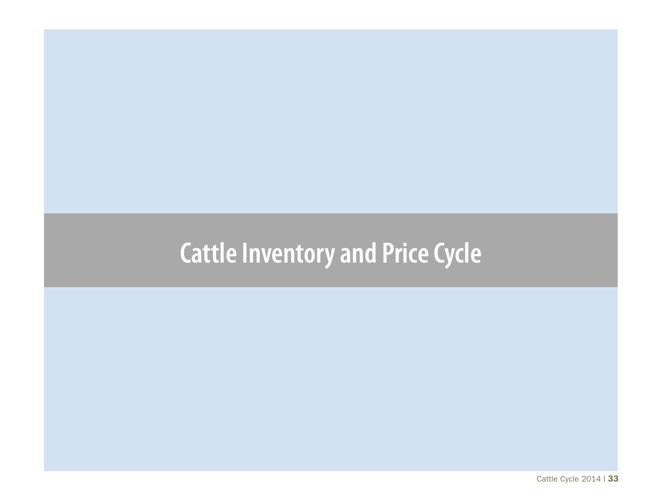## **Cattle Inventory and Price Cycle**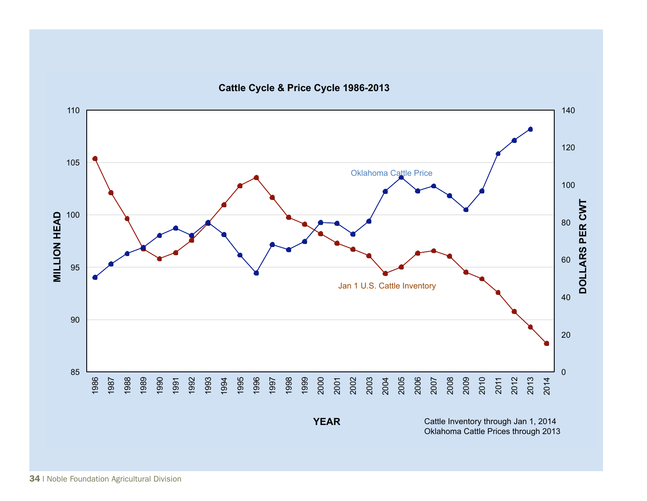**Cattle Cycle & Price Cycle 1986-2013** 



Oklahoma Cattle Prices through 2013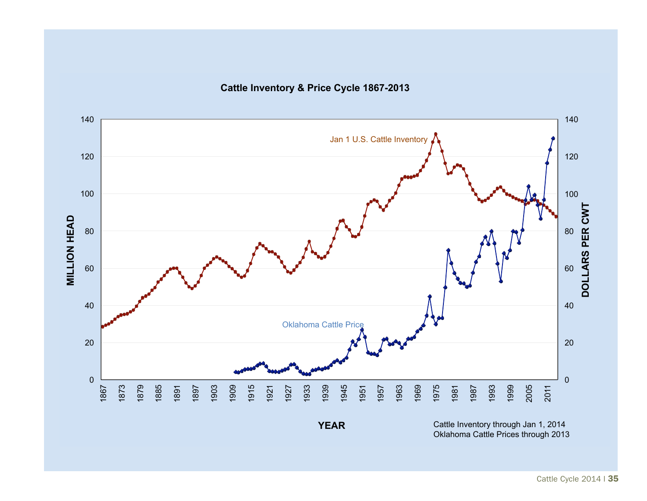**Cattle Inventory & Price Cycle 1867-2013** 

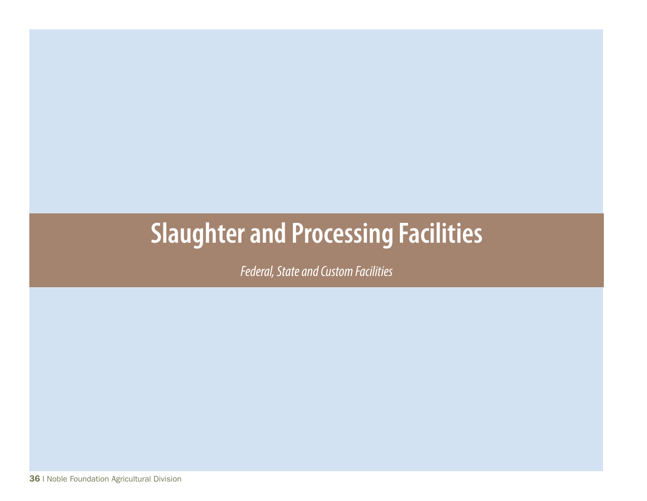## **Slaughter and Processing Facilities**

*Federal, State and Custom Facilities*

36 | Noble Foundation Agricultural Division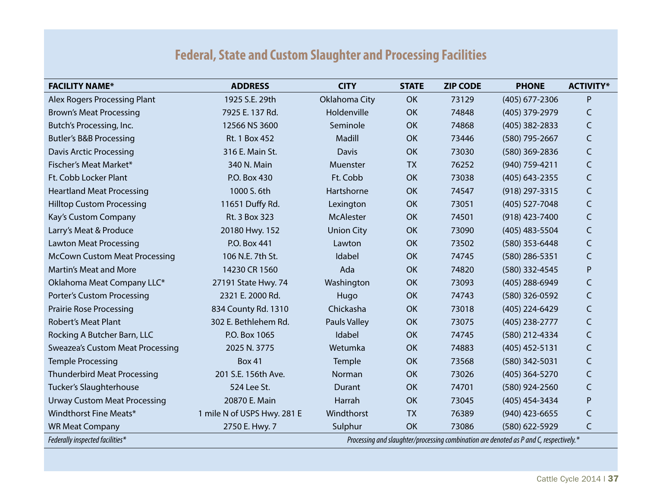### **Federal, State and Custom Slaughter and Processing Facilities**

| <b>FACILITY NAME*</b>                   | <b>ADDRESS</b>                                                                         | <b>CITY</b>       | <b>STATE</b> | <b>ZIP CODE</b> | <b>PHONE</b>     | <b>ACTIVITY*</b> |  |  |  |
|-----------------------------------------|----------------------------------------------------------------------------------------|-------------------|--------------|-----------------|------------------|------------------|--|--|--|
| Alex Rogers Processing Plant            | 1925 S.E. 29th                                                                         | Oklahoma City     | OK           | 73129           | (405) 677-2306   | P                |  |  |  |
| <b>Brown's Meat Processing</b>          | 7925 E. 137 Rd.                                                                        | Holdenville       | OK           | 74848           | (405) 379-2979   | $\mathsf{C}$     |  |  |  |
| Butch's Processing, Inc.                | 12566 NS 3600                                                                          | Seminole          | OK           | 74868           | (405) 382-2833   | C                |  |  |  |
| <b>Butler's B&amp;B Processing</b>      | Rt. 1 Box 452                                                                          | Madill            | OK           | 73446           | (580) 795-2667   | C                |  |  |  |
| <b>Davis Arctic Processing</b>          | 316 E. Main St.                                                                        | <b>Davis</b>      | OK           | 73030           | (580) 369-2836   | $\mathsf{C}$     |  |  |  |
| Fischer's Meat Market*                  | 340 N. Main                                                                            | Muenster          | <b>TX</b>    | 76252           | (940) 759-4211   | C                |  |  |  |
| Ft. Cobb Locker Plant                   | P.O. Box 430                                                                           | Ft. Cobb          | OK           | 73038           | $(405)$ 643-2355 | C                |  |  |  |
| <b>Heartland Meat Processing</b>        | 1000 S. 6th                                                                            | Hartshorne        | OK           | 74547           | (918) 297-3315   | C                |  |  |  |
| <b>Hilltop Custom Processing</b>        | 11651 Duffy Rd.                                                                        | Lexington         | OK           | 73051           | (405) 527-7048   | C                |  |  |  |
| Kay's Custom Company                    | Rt. 3 Box 323                                                                          | <b>McAlester</b>  | OK           | 74501           | (918) 423-7400   | $\mathsf{C}$     |  |  |  |
| Larry's Meat & Produce                  | 20180 Hwy. 152                                                                         | <b>Union City</b> | OK           | 73090           | (405) 483-5504   | $\mathsf{C}$     |  |  |  |
| <b>Lawton Meat Processing</b>           | P.O. Box 441                                                                           | Lawton            | OK           | 73502           | (580) 353-6448   | $\mathsf C$      |  |  |  |
| <b>McCown Custom Meat Processing</b>    | 106 N.E. 7th St.                                                                       | Idabel            | OK           | 74745           | $(580)$ 286-5351 | $\mathsf{C}$     |  |  |  |
| <b>Martin's Meat and More</b>           | 14230 CR 1560                                                                          | Ada               | OK           | 74820           | (580) 332-4545   | P                |  |  |  |
| Oklahoma Meat Company LLC*              | 27191 State Hwy. 74                                                                    | Washington        | OK           | 73093           | (405) 288-6949   | $\mathsf C$      |  |  |  |
| Porter's Custom Processing              | 2321 E. 2000 Rd.                                                                       | Hugo              | OK           | 74743           | (580) 326-0592   | C                |  |  |  |
| <b>Prairie Rose Processing</b>          | 834 County Rd. 1310                                                                    | Chickasha         | OK           | 73018           | (405) 224-6429   | C                |  |  |  |
| <b>Robert's Meat Plant</b>              | 302 E. Bethlehem Rd.                                                                   | Pauls Valley      | OK           | 73075           | (405) 238-2777   | C                |  |  |  |
| Rocking A Butcher Barn, LLC             | P.O. Box 1065                                                                          | Idabel            | OK           | 74745           | (580) 212-4334   | $\mathsf{C}$     |  |  |  |
| <b>Sweazea's Custom Meat Processing</b> | 2025 N. 3775                                                                           | Wetumka           | OK           | 74883           | $(405)$ 452-5131 | $\mathsf{C}$     |  |  |  |
| <b>Temple Processing</b>                | <b>Box 41</b>                                                                          | Temple            | OK           | 73568           | (580) 342-5031   | $\mathsf C$      |  |  |  |
| <b>Thunderbird Meat Processing</b>      | 201 S.E. 156th Ave.                                                                    | Norman            | OK           | 73026           | (405) 364-5270   | $\mathsf{C}$     |  |  |  |
| Tucker's Slaughterhouse                 | 524 Lee St.                                                                            | Durant            | OK           | 74701           | (580) 924-2560   | C                |  |  |  |
| <b>Urway Custom Meat Processing</b>     | 20870 E. Main                                                                          | Harrah            | OK           | 73045           | $(405)$ 454-3434 | P                |  |  |  |
| Windthorst Fine Meats*                  | 1 mile N of USPS Hwy. 281 E                                                            | Windthorst        | <b>TX</b>    | 76389           | $(940)$ 423-6655 | C                |  |  |  |
| <b>WR Meat Company</b>                  | 2750 E. Hwy. 7                                                                         | Sulphur           | OK           | 73086           | (580) 622-5929   | $\mathsf{C}$     |  |  |  |
| Federally inspected facilities*         | Processing and slaughter/processing combination are denoted as P and C, respectively.* |                   |              |                 |                  |                  |  |  |  |